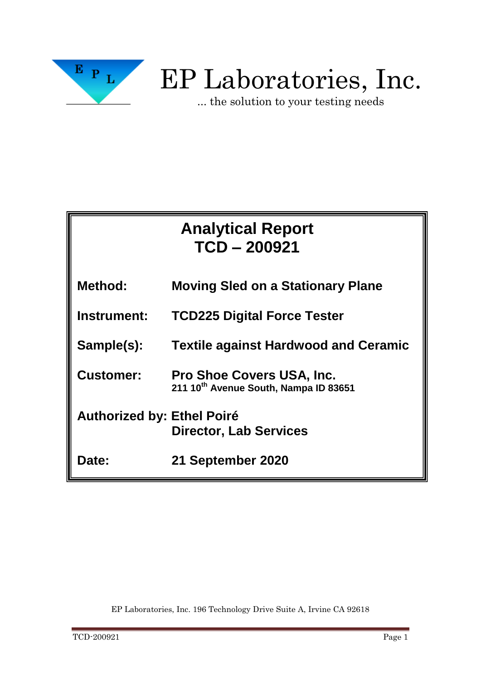

# EP Laboratories, Inc.

... the solution to your testing needs

| <b>Analytical Report</b><br>TCD-200921 |                                                                           |  |  |  |  |  |
|----------------------------------------|---------------------------------------------------------------------------|--|--|--|--|--|
| <b>Method:</b>                         | <b>Moving Sled on a Stationary Plane</b>                                  |  |  |  |  |  |
| <b>Instrument:</b>                     | <b>TCD225 Digital Force Tester</b>                                        |  |  |  |  |  |
| Sample(s):                             | <b>Textile against Hardwood and Ceramic</b>                               |  |  |  |  |  |
| <b>Customer:</b>                       | <b>Pro Shoe Covers USA, Inc.</b><br>211 10th Avenue South, Nampa ID 83651 |  |  |  |  |  |
| <b>Authorized by: Ethel Poiré</b>      | <b>Director, Lab Services</b>                                             |  |  |  |  |  |
| <b>Date:</b>                           | 21 September 2020                                                         |  |  |  |  |  |

EP Laboratories, Inc. 196 Technology Drive Suite A, Irvine CA 92618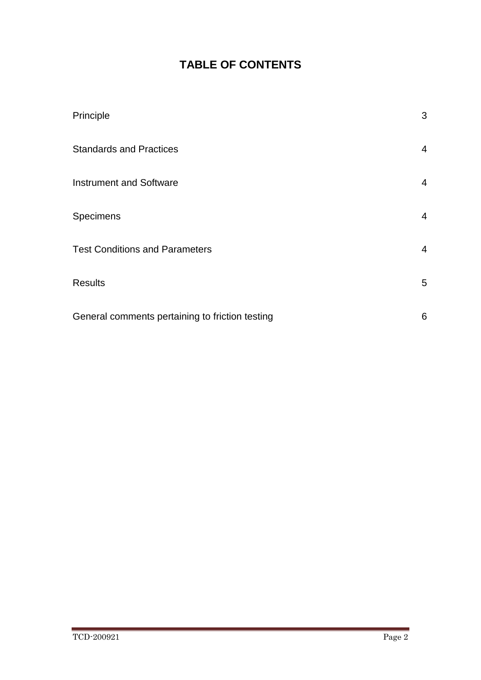## **TABLE OF CONTENTS**

| Principle                                       | 3               |
|-------------------------------------------------|-----------------|
| <b>Standards and Practices</b>                  | $\overline{4}$  |
| <b>Instrument and Software</b>                  | $\overline{4}$  |
| Specimens                                       | $\overline{4}$  |
| <b>Test Conditions and Parameters</b>           | $\overline{4}$  |
| <b>Results</b>                                  | $5\overline{)}$ |
| General comments pertaining to friction testing | 6               |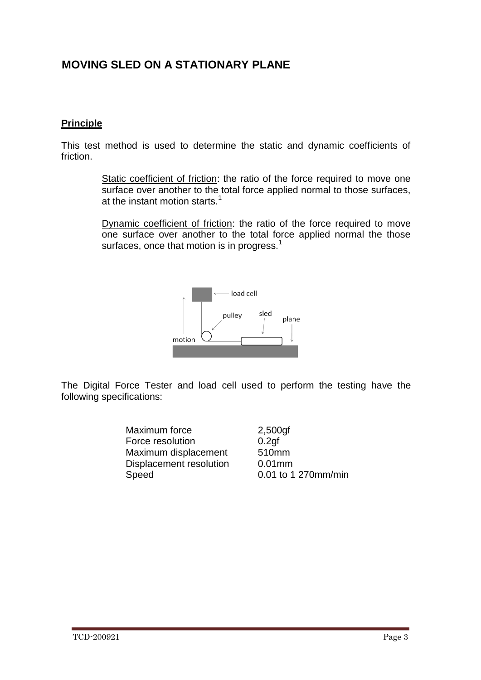### **MOVING SLED ON A STATIONARY PLANE**

#### **Principle**

This test method is used to determine the static and dynamic coefficients of friction.

> Static coefficient of friction: the ratio of the force required to move one surface over another to the total force applied normal to those surfaces, at the instant motion starts.<sup>1</sup>

> Dynamic coefficient of friction: the ratio of the force required to move one surface over another to the total force applied normal the those surfaces, once that motion is in progress.<sup>1</sup>



The Digital Force Tester and load cell used to perform the testing have the following specifications:

| Maximum force           | $2,500$ gf          |
|-------------------------|---------------------|
| Force resolution        | 0.2 <sub>qf</sub>   |
| Maximum displacement    | 510 <sub>mm</sub>   |
| Displacement resolution | $0.01$ mm           |
| Speed                   | 0.01 to 1 270mm/min |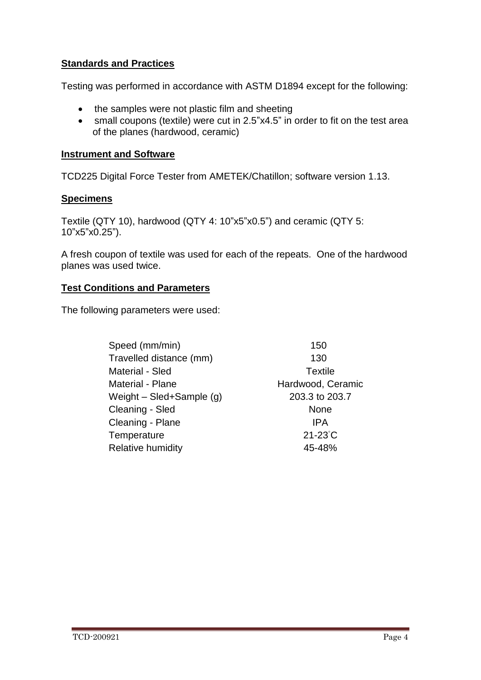#### **Standards and Practices**

Testing was performed in accordance with ASTM D1894 except for the following:

- the samples were not plastic film and sheeting
- small coupons (textile) were cut in 2.5"x4.5" in order to fit on the test area of the planes (hardwood, ceramic)

#### **Instrument and Software**

TCD225 Digital Force Tester from AMETEK/Chatillon; software version 1.13.

#### **Specimens**

Textile (QTY 10), hardwood (QTY 4: 10"x5"x0.5") and ceramic (QTY 5: 10"x5"x0.25").

A fresh coupon of textile was used for each of the repeats. One of the hardwood planes was used twice.

#### **Test Conditions and Parameters**

The following parameters were used:

| Speed (mm/min)             | 150               |
|----------------------------|-------------------|
| Travelled distance (mm)    | 130               |
| <b>Material - Sled</b>     | <b>Textile</b>    |
| <b>Material - Plane</b>    | Hardwood, Ceramic |
| Weight $-$ Sled+Sample (g) | 203.3 to 203.7    |
| Cleaning - Sled            | <b>None</b>       |
| Cleaning - Plane           | <b>IPA</b>        |
| Temperature                | $21-23^{\circ}$ C |
| <b>Relative humidity</b>   | 45-48%            |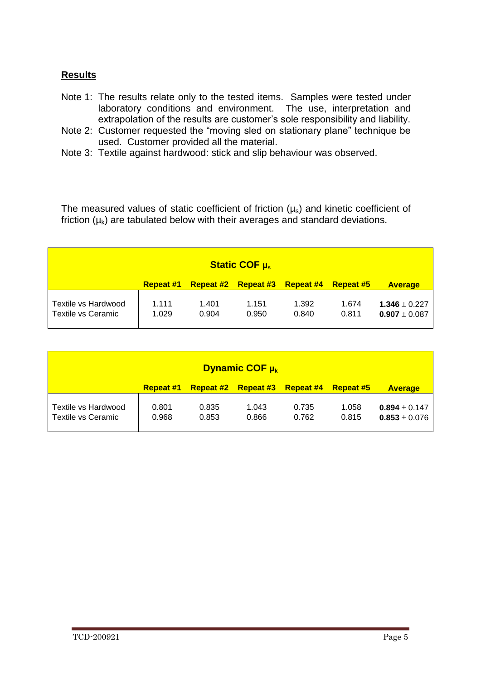#### **Results**

- Note 1: The results relate only to the tested items. Samples were tested under laboratory conditions and environment. The use, interpretation and extrapolation of the results are customer's sole responsibility and liability.
- Note 2: Customer requested the "moving sled on stationary plane" technique be used. Customer provided all the material.
- Note 3: Textile against hardwood: stick and slip behaviour was observed.

The measured values of static coefficient of friction  $(\mu_s)$  and kinetic coefficient of friction  $(\mu_k)$  are tabulated below with their averages and standard deviations.

| <b>Static COF µs</b>                      |                |                  |                |                     |                  |                                        |
|-------------------------------------------|----------------|------------------|----------------|---------------------|------------------|----------------------------------------|
|                                           | Repeat #1      | <b>Repeat #2</b> |                | Repeat #3 Repeat #4 | <b>Repeat #5</b> | <b>Average</b>                         |
| Textile vs Hardwood<br>Textile vs Ceramic | 1.111<br>1.029 | 1.401<br>0.904   | 1.151<br>0.950 | 1.392<br>0.840      | 1.674<br>0.811   | 1.346 $\pm$ 0.227<br>$0.907 \pm 0.087$ |

| <b>Dynamic COF <math>\mu_k</math></b>     |                |                  |                  |                  |                  |                                        |  |
|-------------------------------------------|----------------|------------------|------------------|------------------|------------------|----------------------------------------|--|
|                                           | Repeat #1      | <b>Repeat #2</b> | <b>Repeat #3</b> | <b>Repeat #4</b> | <b>Repeat #5</b> | <b>Average</b>                         |  |
| Textile vs Hardwood<br>Textile vs Ceramic | 0.801<br>0.968 | 0.835<br>0.853   | 1.043<br>0.866   | 0.735<br>0.762   | 1.058<br>0.815   | 0.894 $\pm$ 0.147<br>$0.853 \pm 0.076$ |  |